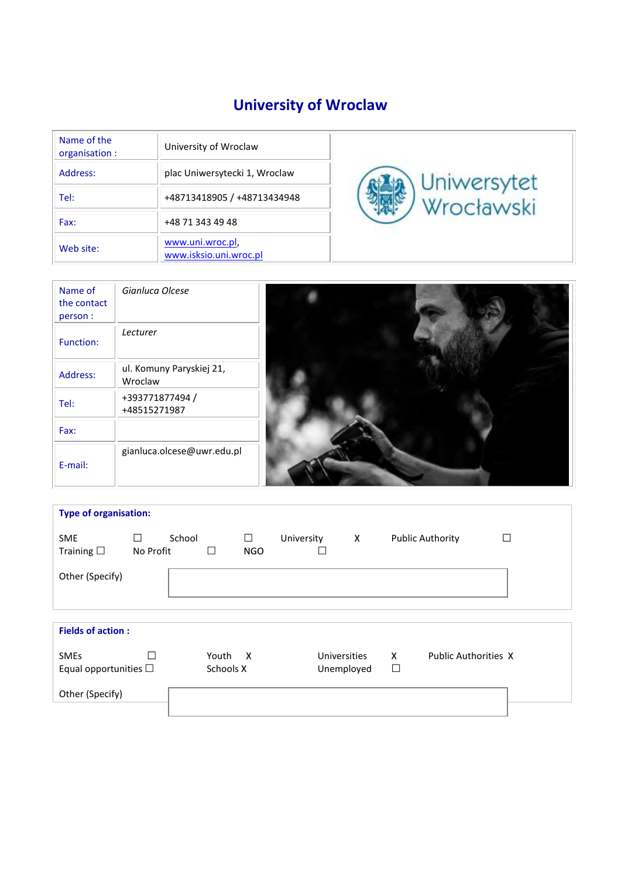# **University of Wroclaw**

| Name of the<br>organisation : | University of Wroclaw                      |             |
|-------------------------------|--------------------------------------------|-------------|
| Address:                      | plac Uniwersytecki 1, Wroclaw              | Uniwersytet |
| Tel:                          | +48713418905 / +48713434948                | Wrocławski  |
| Fax:                          | +48 71 343 49 48                           |             |
| Web site:                     | www.uni.wroc.pl.<br>www.isksio.uni.wroc.pl |             |

| Name of<br>the contact<br>person: | Gianluca Olcese                     |  |
|-----------------------------------|-------------------------------------|--|
| Function:                         | Lecturer                            |  |
| Address:                          | ul. Komuny Paryskiej 21,<br>Wroclaw |  |
| Tel:                              | +393771877494 /<br>+48515271987     |  |
| Fax:                              |                                     |  |
| E-mail:                           | gianluca.olcese@uwr.edu.pl          |  |

| <b>Type of organisation:</b>              |                          |        |                    |                 |            |                            |   |        |                             |   |
|-------------------------------------------|--------------------------|--------|--------------------|-----------------|------------|----------------------------|---|--------|-----------------------------|---|
| <b>SME</b><br>Training $\square$          | ⊔<br>No Profit           | School | П                  | □<br><b>NGO</b> | University |                            | Х |        | <b>Public Authority</b>     | П |
| Other (Specify)                           |                          |        |                    |                 |            |                            |   |        |                             |   |
| <b>Fields of action:</b>                  |                          |        |                    |                 |            |                            |   |        |                             |   |
| <b>SMEs</b><br>Equal opportunities $\Box$ | $\overline{\phantom{a}}$ |        | Youth<br>Schools X | $\mathsf{X}$    |            | Universities<br>Unemployed |   | x<br>□ | <b>Public Authorities X</b> |   |
| Other (Specify)                           |                          |        |                    |                 |            |                            |   |        |                             |   |
|                                           |                          |        |                    |                 |            |                            |   |        |                             |   |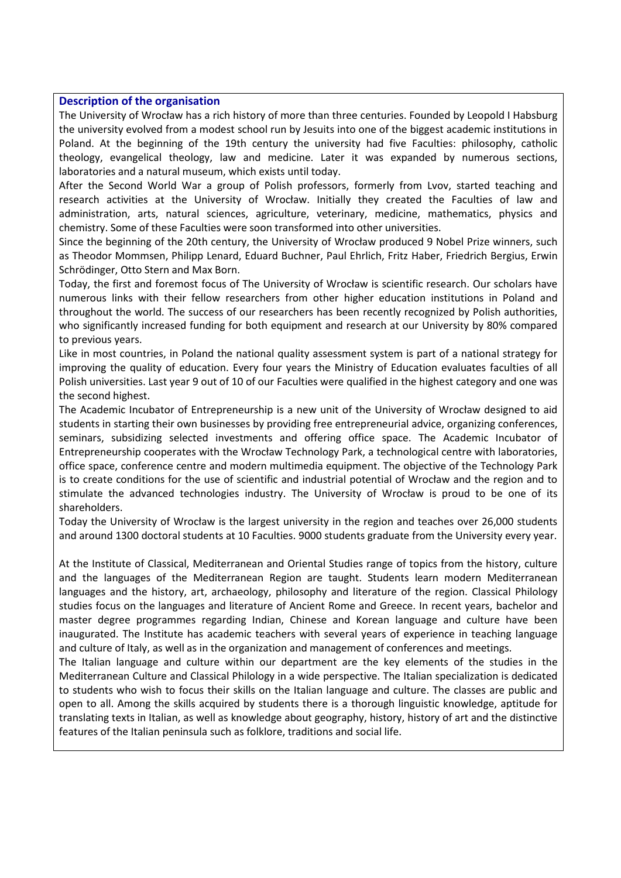#### **Description of the organisation**

The University of Wrocław has a rich history of more than three centuries. Founded by Leopold I Habsburg the university evolved from a modest school run by Jesuits into one of the biggest academic institutions in Poland. At the beginning of the 19th century the university had five Faculties: philosophy, catholic theology, evangelical theology, law and medicine. Later it was expanded by numerous sections, laboratories and a natural museum, which exists until today.

After the Second World War a group of Polish professors, formerly from Lvov, started teaching and research activities at the University of Wrocław. Initially they created the Faculties of law and administration, arts, natural sciences, agriculture, veterinary, medicine, mathematics, physics and chemistry. Some of these Faculties were soon transformed into other universities.

Since the beginning of the 20th century, the University of Wrocław produced 9 Nobel Prize winners, such as Theodor Mommsen, Philipp Lenard, Eduard Buchner, Paul Ehrlich, Fritz Haber, Friedrich Bergius, Erwin Schrödinger, Otto Stern and Max Born.

Today, the first and foremost focus of The University of Wrocław is scientific research. Our scholars have numerous links with their fellow researchers from other higher education institutions in Poland and throughout the world. The success of our researchers has been recently recognized by Polish authorities, who significantly increased funding for both equipment and research at our University by 80% compared to previous years.

Like in most countries, in Poland the national quality assessment system is part of a national strategy for improving the quality of education. Every four years the Ministry of Education evaluates faculties of all Polish universities. Last year 9 out of 10 of our Faculties were qualified in the highest category and one was the second highest.

The Academic Incubator of Entrepreneurship is a new unit of the University of Wrocław designed to aid students in starting their own businesses by providing free entrepreneurial advice, organizing conferences, seminars, subsidizing selected investments and offering office space. The Academic Incubator of Entrepreneurship cooperates with the Wrocław Technology Park, a technological centre with laboratories, office space, conference centre and modern multimedia equipment. The objective of the Technology Park is to create conditions for the use of scientific and industrial potential of Wrocław and the region and to stimulate the advanced technologies industry. The University of Wrocław is proud to be one of its shareholders.

Today the University of Wrocław is the largest university in the region and teaches over 26,000 students and around 1300 doctoral students at 10 Faculties. 9000 students graduate from the University every year.

At the Institute of Classical, Mediterranean and Oriental Studies range of topics from the history, culture and the languages of the Mediterranean Region are taught. Students learn modern Mediterranean languages and the history, art, archaeology, philosophy and literature of the region. Classical Philology studies focus on the languages and literature of Ancient Rome and Greece. In recent years, bachelor and master degree programmes regarding Indian, Chinese and Korean language and culture have been inaugurated. The Institute has academic teachers with several years of experience in teaching language and culture of Italy, as well as in the organization and management of conferences and meetings.

The Italian language and culture within our department are the key elements of the studies in the Mediterranean Culture and Classical Philology in a wide perspective. The Italian specialization is dedicated to students who wish to focus their skills on the Italian language and culture. The classes are public and open to all. Among the skills acquired by students there is a thorough linguistic knowledge, aptitude for translating texts in Italian, as well as knowledge about geography, history, history of art and the distinctive features of the Italian peninsula such as folklore, traditions and social life.